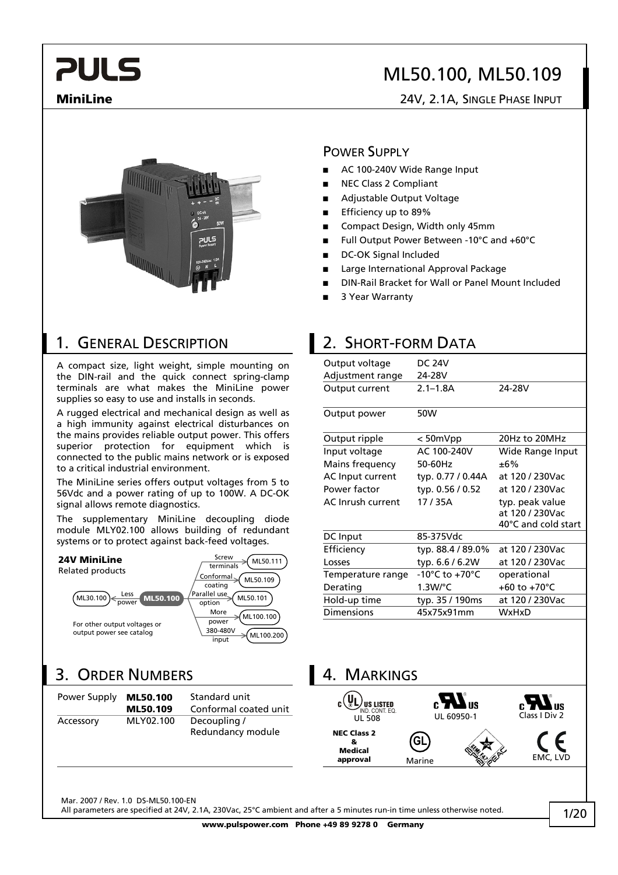## ML50.100, ML50.109

### **MiniLine** 24V, 2.1A, SINGLE PHASE INPUT



### 1. GENERAL DESCRIPTION 2. SHORT-FORM DATA

A compact size, light weight, simple mounting on the DIN-rail and the quick connect spring-clamp terminals are what makes the MiniLine power supplies so easy to use and installs in seconds.

A rugged electrical and mechanical design as well as a high immunity against electrical disturbances on the mains provides reliable output power. This offers superior protection for equipment which is connected to the public mains network or is exposed to a critical industrial environment.

The MiniLine series offers output voltages from 5 to 56Vdc and a power rating of up to 100W. A DC-OK signal allows remote diagnostics.

The supplementary MiniLine decoupling diode module MLY02.100 allows building of redundant systems or to protect against back-feed voltages.



## 3. ORDER NUMBERS 14. MARKINGS

| Power Supply | ML50.100  | Standard unit         | $c$ (UL) US LISTED |
|--------------|-----------|-----------------------|--------------------|
|              | ML50.109  | Conformal coated unit |                    |
| Accessory    | MLY02.100 | Decoupling /          | <b>UL 508</b>      |
|              |           | Redundancy module     | <b>NEC Class 2</b> |

### POWER SUPPLY

- **■** AC 100-240V Wide Range Input
- **■** NEC Class 2 Compliant
- **■** Adjustable Output Voltage
- **■** Efficiency up to 89%
- **■** Compact Design, Width only 45mm
- **■** Full Output Power Between -10°C and +60°C
- DC-OK Signal Included
- **■** Large International Approval Package
- **■** DIN-Rail Bracket for Wall or Panel Mount Included
- **■** 3 Year Warranty

| Output voltage<br>Adjustment range | <b>DC 24V</b><br>24-28V |                                                           |
|------------------------------------|-------------------------|-----------------------------------------------------------|
| Output current                     | $2.1 - 1.8A$            | 24-28V                                                    |
| Output power                       | 50W                     |                                                           |
| Output ripple                      | $< 50$ m $Vpp$          | 20Hz to 20MHz                                             |
| Input voltage                      | AC 100-240V             | Wide Range Input                                          |
| Mains frequency                    | 50-60Hz                 | ±6%                                                       |
| AC Input current                   | typ. 0.77 / 0.44A       | at 120 / 230Vac                                           |
| Power factor                       | typ. 0.56 / 0.52        | at 120 / 230Vac                                           |
| AC Inrush current                  | 17 / 35A                | typ. peak value<br>at 120 / 230Vac<br>40°C and cold start |
| DC Input                           | 85-375Vdc               |                                                           |
| Efficiency                         | typ. 88.4 / 89.0%       | at 120 / 230Vac                                           |
| Losses                             | typ. 6.6 / 6.2W         | at 120 / 230Vac                                           |
| Temperature range                  | -10°C to +70°C          | operational                                               |
| Derating                           | $1.3W$ /°C              | +60 to +70 $^{\circ}$ C                                   |
| Hold-up time                       | typ. 35 / 190ms         | at 120 / 230Vac                                           |
| <b>Dimensions</b>                  | 45x75x91mm              | WxHxD                                                     |
|                                    |                         |                                                           |

ПS Accessory MLY02.100 Decoupling / UL 508 UL 50950-1 Class I Div 2 **NEC Class 2 GL & Medical approval** Marine

Mar. 2007 / Rev. 1.0 DS-ML50.100-EN

All parameters are specified at 24V, 2.1A, 230Vac, 25°C ambient and after a 5 minutes run-in time unless otherwise noted.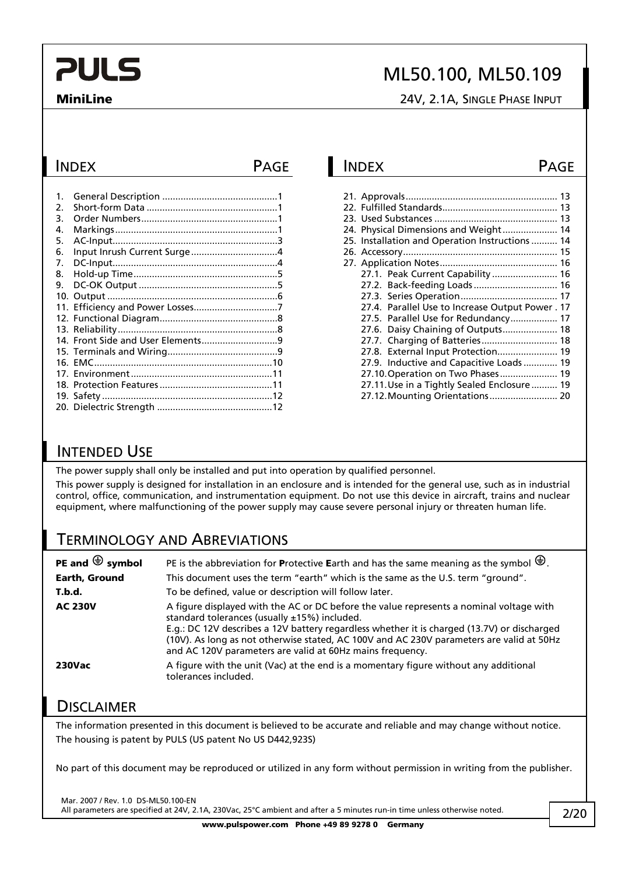## ML50.100, ML50.109

**MiniLine** 24V, 2.1A, SINGLE PHASE INPUT

| $\mathbf{1}$ . |  |
|----------------|--|
| 2.             |  |
| 3.             |  |
| 4.             |  |
| 5.             |  |
| 6.             |  |
| 7.             |  |
| 8.             |  |
| 9.             |  |
|                |  |
|                |  |
|                |  |
|                |  |
|                |  |
|                |  |
|                |  |
|                |  |
|                |  |
|                |  |
|                |  |
|                |  |

### INDEX PAGE INDEX PAGE

|  | 24. Physical Dimensions and Weight 14            |  |
|--|--------------------------------------------------|--|
|  | 25. Installation and Operation Instructions 14   |  |
|  |                                                  |  |
|  |                                                  |  |
|  |                                                  |  |
|  | 27.2. Back-feeding Loads  16                     |  |
|  |                                                  |  |
|  | 27.4. Parallel Use to Increase Output Power . 17 |  |
|  | 27.5. Parallel Use for Redundancy 17             |  |
|  | 27.6. Daisy Chaining of Outputs 18               |  |
|  | 27.7. Charging of Batteries 18                   |  |
|  | 27.8. External Input Protection 19               |  |
|  | 27.9. Inductive and Capacitive Loads  19         |  |
|  | 27.10. Operation on Two Phases 19                |  |
|  | 27.11. Use in a Tightly Sealed Enclosure  19     |  |
|  | 27.12. Mounting Orientations 20                  |  |

### INTENDED USE

The power supply shall only be installed and put into operation by qualified personnel.

This power supply is designed for installation in an enclosure and is intended for the general use, such as in industrial control, office, communication, and instrumentation equipment. Do not use this device in aircraft, trains and nuclear equipment, where malfunctioning of the power supply may cause severe personal injury or threaten human life.

### TERMINOLOGY AND ABREVIATIONS

| PE and $\bigoplus$ symbol | PE is the abbreviation for Protective Earth and has the same meaning as the symbol $\bigoplus$ .                                                                                                                                                                                                                                                                                                    |
|---------------------------|-----------------------------------------------------------------------------------------------------------------------------------------------------------------------------------------------------------------------------------------------------------------------------------------------------------------------------------------------------------------------------------------------------|
| <b>Earth, Ground</b>      | This document uses the term "earth" which is the same as the U.S. term "ground".                                                                                                                                                                                                                                                                                                                    |
| T.b.d.                    | To be defined, value or description will follow later.                                                                                                                                                                                                                                                                                                                                              |
| <b>AC 230V</b>            | A figure displayed with the AC or DC before the value represents a nominal voltage with<br>standard tolerances (usually $±15\%$ ) included.<br>E.g.: DC 12V describes a 12V battery regardless whether it is charged (13.7V) or discharged<br>(10V). As long as not otherwise stated, AC 100V and AC 230V parameters are valid at 50Hz<br>and AC 120V parameters are valid at 60Hz mains frequency. |
| <b>230Vac</b>             | A figure with the unit (Vac) at the end is a momentary figure without any additional<br>tolerances included.                                                                                                                                                                                                                                                                                        |

### **DISCLAIMER**

The information presented in this document is believed to be accurate and reliable and may change without notice. The housing is patent by PULS (US patent No US D442,923S)

No part of this document may be reproduced or utilized in any form without permission in writing from the publisher.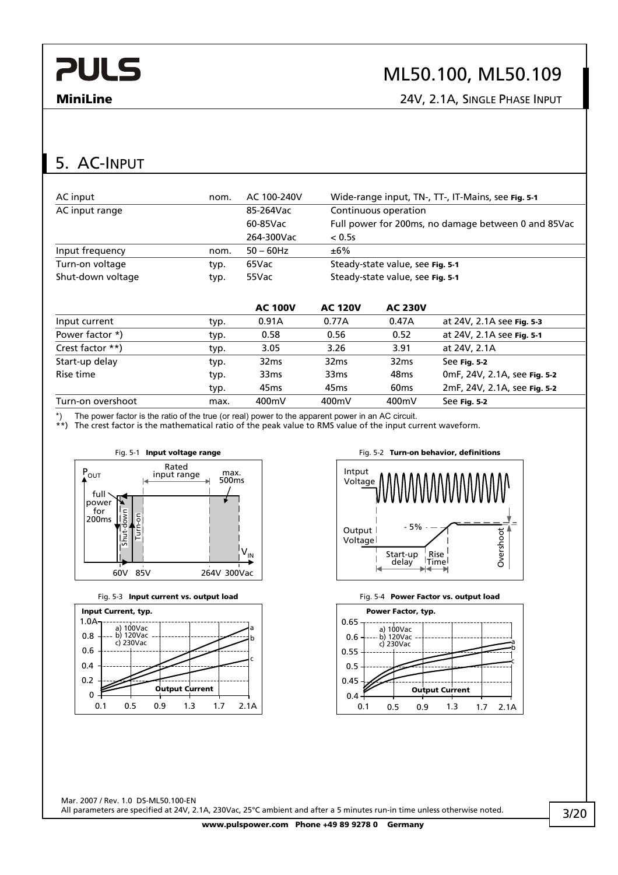## ML50.100, ML50.109

**MiniLine** 24V, 2.1A, SINGLE PHASE INPUT

# 5. AC-INPUT

| AC input          | nom. | AC 100-240V      | Wide-range input, TN-, TT-, IT-Mains, see Fig. 5-1 |                  |                                                     |
|-------------------|------|------------------|----------------------------------------------------|------------------|-----------------------------------------------------|
| AC input range    |      | 85-264Vac        | Continuous operation                               |                  |                                                     |
|                   |      | 60-85Vac         |                                                    |                  | Full power for 200ms, no damage between 0 and 85Vac |
|                   |      | 264-300Vac       | < 0.5s                                             |                  |                                                     |
| Input frequency   | nom. | $50 - 60$ Hz     | ±6%                                                |                  |                                                     |
| Turn-on voltage   | typ. | 65Vac            | Steady-state value, see Fig. 5-1                   |                  |                                                     |
| Shut-down voltage | typ. | 55Vac            | Steady-state value, see Fig. 5-1                   |                  |                                                     |
|                   |      | <b>AC 100V</b>   | <b>AC 120V</b>                                     | <b>AC 230V</b>   |                                                     |
| Input current     | typ. | 0.91A            | 0.77A                                              | 0.47A            | at 24V, 2.1A see Fig. 5-3                           |
| Power factor *)   | typ. | 0.58             | 0.56                                               | 0.52             | at 24V, 2.1A see Fig. 5-1                           |
| Crest factor **)  | typ. | 3.05             | 3.26                                               | 3.91             | at 24V, 2.1A                                        |
| Start-up delay    | typ. | 32 <sub>ms</sub> | 32 <sub>ms</sub>                                   | 32 <sub>ms</sub> | See Fig. 5-2                                        |
| Rise time         | typ. | 33 <sub>ms</sub> | 33 <sub>ms</sub>                                   | 48 <sub>ms</sub> | 0mF, 24V, 2.1A, see Fig. 5-2                        |

The power factor is the ratio of the true (or real) power to the apparent power in an AC circuit.

\*\*) The crest factor is the mathematical ratio of the peak value to RMS value of the input current waveform.

Turn-on overshoot max. 400mV 400mV 400mV See **Fig. 5-2**









typ. 45ms 45ms 60ms 2mF, 24V, 2.1A, see **Fig. 5-2**

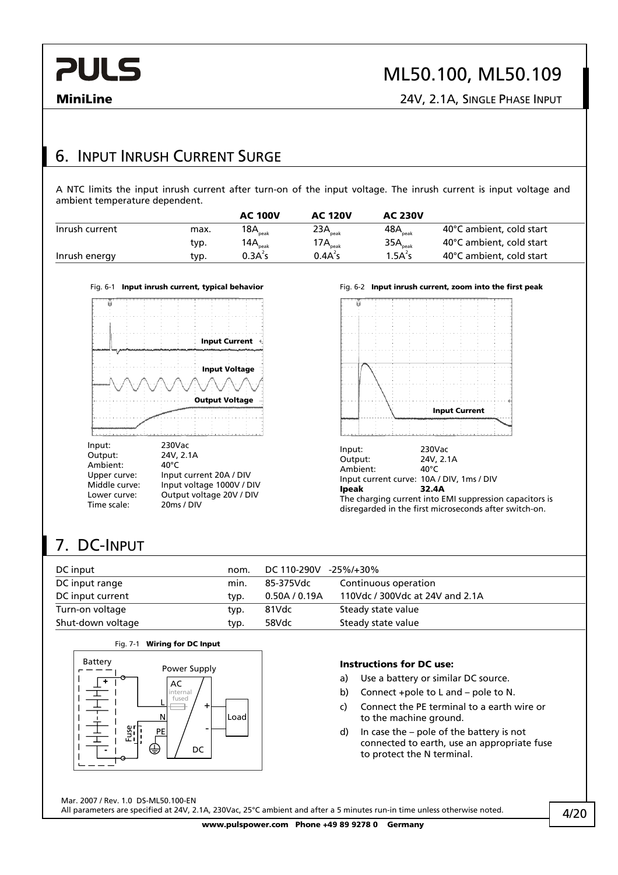# ML50.100, ML50.109

**MiniLine** 24V, 2.1A, SINGLE PHASE INPUT

### 6. INPUT INRUSH CURRENT SURGE

A NTC limits the input inrush current after turn-on of the input voltage. The inrush current is input voltage and ambient temperature dependent.

|                |      | <b>AC 100V</b>      | <b>AC 120V</b>       | <b>AC 230V</b>                |                          |
|----------------|------|---------------------|----------------------|-------------------------------|--------------------------|
| Inrush current | max. | $18A_{\text{peak}}$ | 23A <sub>peak</sub>  | 48 $\mathsf{A}_\mathsf{peak}$ | 40°C ambient, cold start |
|                | typ. | $14A_{\text{peak}}$ | 17 $A_{\text{peak}}$ | $35A_{\text{peak}}$           | 40°C ambient, cold start |
| Inrush energy  | typ. | 0.3A <sup>2</sup> S | 0.4A <sup>2</sup> s  | 1.5A <sup>2</sup> S           | 40°C ambient, cold start |



Fig. 6-1 **Input inrush current, typical behavior** Fig. 6-2 **Input inrush current, zoom into the first peak** 



disregarded in the first microseconds after switch-on.

# 7. DC-INPUT

| DC input          | nom. | DC 110-290V   | -25%/+30%                       |
|-------------------|------|---------------|---------------------------------|
| DC input range    | min. | 85-375Vdc     | Continuous operation            |
| DC input current  | typ. | 0.50A / 0.19A | 110Vdc / 300Vdc at 24V and 2.1A |
| Turn-on voltage   | typ. | 81Vdc         | Steady state value              |
| Shut-down voltage | typ. | 58Vdc         | Steady state value              |



### **Instructions for DC use:**

- a) Use a battery or similar DC source.
- b) Connect +pole to L and pole to N.
- c) Connect the PE terminal to a earth wire or to the machine ground.
- d) In case the pole of the battery is not connected to earth, use an appropriate fuse to protect the N terminal.

**www.pulspower.com Phone +49 89 9278 0 Germany** 

Mar. 2007 / Rev. 1.0 DS-ML50.100-EN All parameters are specified at 24V, 2.1A, 230Vac, 25°C ambient and after a 5 minutes run-in time unless otherwise noted.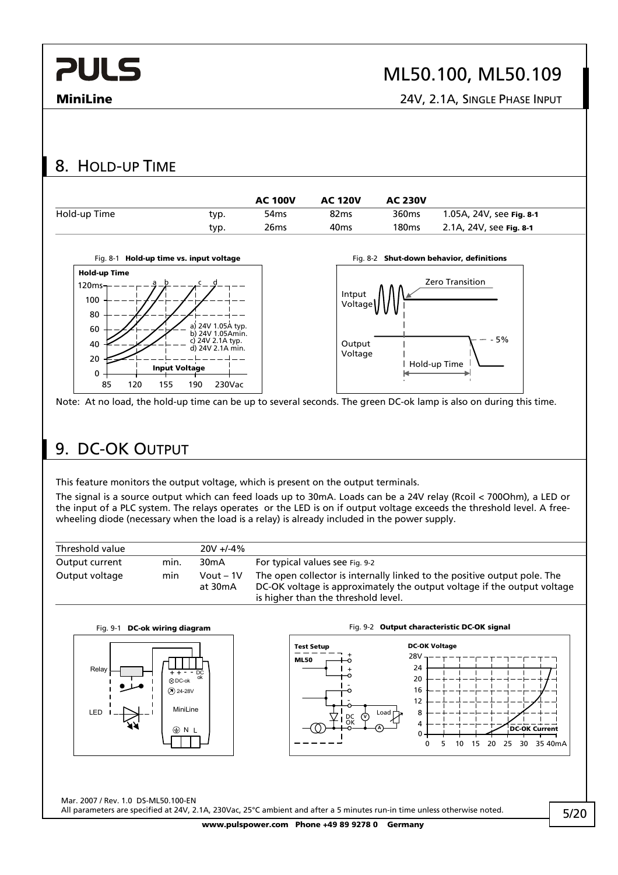# ML50.100, ML50.109

**MiniLine** 24V, 2.1A, SINGLE PHASE INPUT

### 8. HOLD-UP TIME



Note: At no load, the hold-up time can be up to several seconds. The green DC-ok lamp is also on during this time.

## 9. DC-OK OUTPUT

This feature monitors the output voltage, which is present on the output terminals.

The signal is a source output which can feed loads up to 30mA. Loads can be a 24V relay (Rcoil < 700Ohm), a LED or the input of a PLC system. The relays operates or the LED is on if output voltage exceeds the threshold level. A freewheeling diode (necessary when the load is a relay) is already included in the power supply.

| Threshold value |      | $20V + 4\%$          |                                                                                                                                                                                            |
|-----------------|------|----------------------|--------------------------------------------------------------------------------------------------------------------------------------------------------------------------------------------|
| Output current  | min. | 30 <sub>m</sub> A    | For typical values see Fig. 9-2                                                                                                                                                            |
| Output voltage  | min  | Vout – 1V<br>at 30mA | The open collector is internally linked to the positive output pole. The<br>DC-OK voltage is approximately the output voltage if the output voltage<br>is higher than the threshold level. |





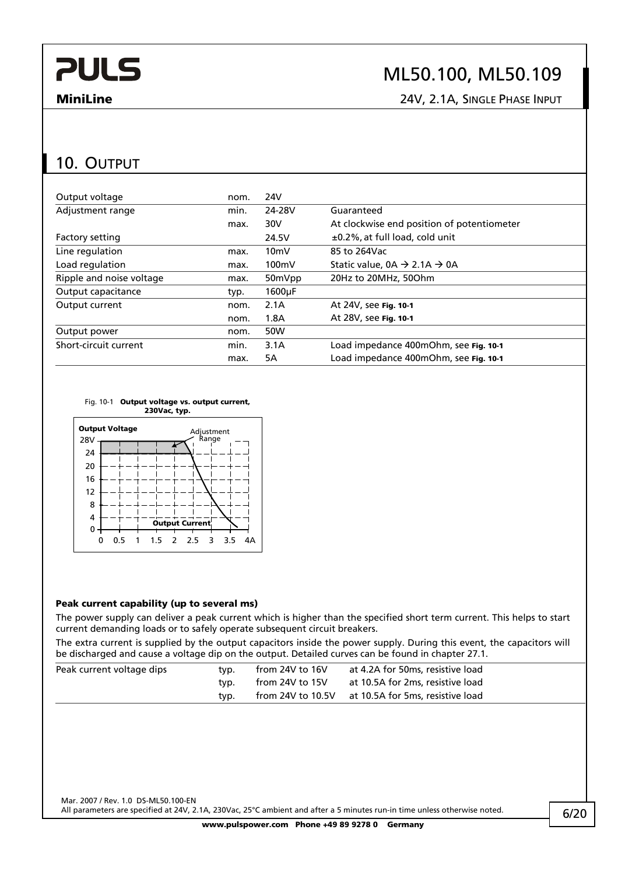## ML50.100, ML50.109

**MiniLine** 24V, 2.1A, SINGLE PHASE INPUT

### 10. OUTPUT

| Output voltage           | nom. | 24V                 |                                                    |
|--------------------------|------|---------------------|----------------------------------------------------|
| Adjustment range         | min. | 24-28V              | Guaranteed                                         |
|                          | max. | 30V                 | At clockwise end position of potentiometer         |
| Factory setting          |      | 24.5V               | ±0.2%, at full load, cold unit                     |
| Line regulation          | max. | 10 <sub>m</sub>     | 85 to 264Vac                                       |
| Load regulation          | max. | $100 \text{mV}$     | Static value, $0A \rightarrow 2.1A \rightarrow 0A$ |
| Ripple and noise voltage | max. | 50mVpp              | 20Hz to 20MHz, 50Ohm                               |
| Output capacitance       | typ. | 1600 <sub>u</sub> F |                                                    |
| Output current           | nom. | 2.1A                | At 24V, see Fig. 10-1                              |
|                          | nom. | 1.8A                | At 28V, see Fig. 10-1                              |
| Output power             | nom. | 50W                 |                                                    |
| Short-circuit current    | min. | 3.1A                | Load impedance 400mOhm, see Fig. 10-1              |
|                          | max. | 5А                  | Load impedance 400mOhm, see Fig. 10-1              |





### **Peak current capability (up to several ms)**

The power supply can deliver a peak current which is higher than the specified short term current. This helps to start current demanding loads or to safely operate subsequent circuit breakers.

The extra current is supplied by the output capacitors inside the power supply. During this event, the capacitors will be discharged and cause a voltage dip on the output. Detailed curves can be found in chapter 27.1.

| Peak current voltage dips | tvp. | from 24V to $16V$ | at 4.2A for 50ms, resistive load |
|---------------------------|------|-------------------|----------------------------------|
|                           | tvp. | from 24V to 15V   | at 10.5A for 2ms, resistive load |
|                           | tvp. | from 24V to 10.5V | at 10.5A for 5ms, resistive load |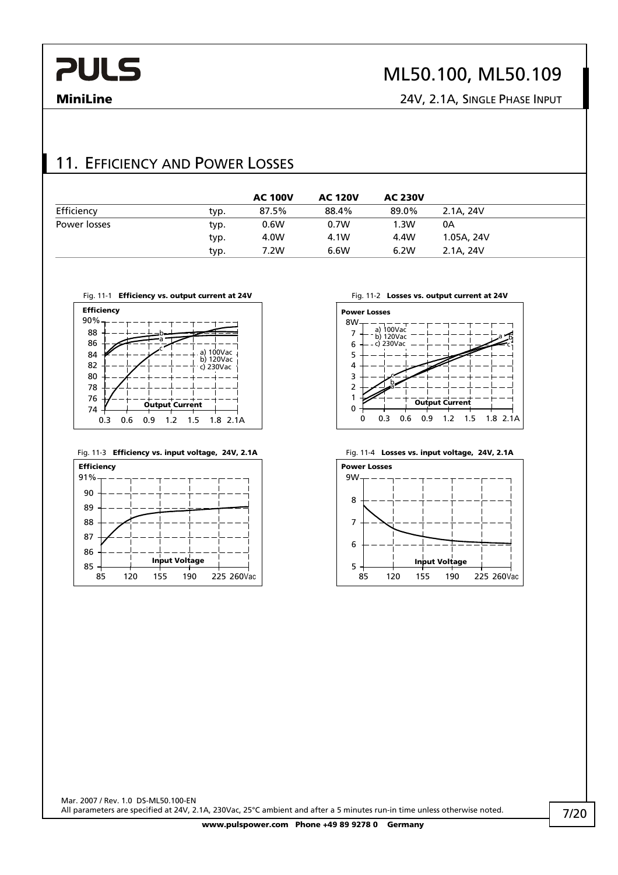# ML50.100, ML50.109

**MiniLine** 24V, 2.1A, SINGLE PHASE INPUT

### 11. EFFICIENCY AND POWER LOSSES

|              |      | <b>AC 100V</b> | <b>AC 120V</b> | <b>AC 230V</b> |            |
|--------------|------|----------------|----------------|----------------|------------|
| Efficiency   | typ. | 87.5%          | 88.4%          | 89.0%          | 2.1A, 24V  |
| Power losses | typ. | 0.6W           | 0.7W           | 1.3W           | 0А         |
|              | typ. | 4.0W           | 4.1W           | 4.4W           | 1.05A, 24V |
|              | typ. | 7.2W           | 6.6W           | 6.2W           | 2.1A, 24V  |











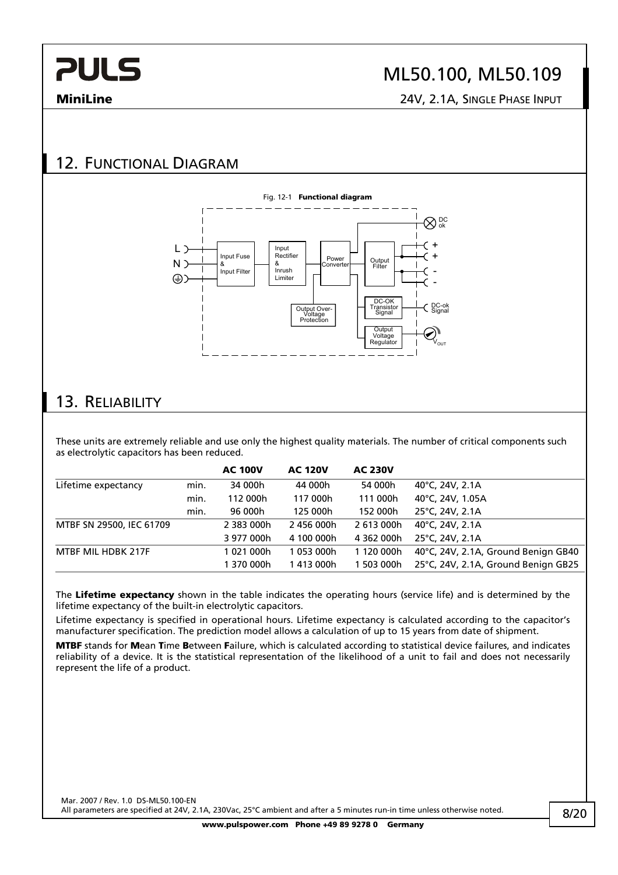## ML50.100, ML50.109

**MiniLine** 24V, 2.1A, SINGLE PHASE INPUT

## 12. FUNCTIONAL DIAGRAM



### 13. RELIABILITY

These units are extremely reliable and use only the highest quality materials. The number of critical components such as electrolytic capacitors has been reduced.

|                          |      | <b>AC 100V</b> | <b>AC 120V</b> | <b>AC 230V</b> |                                     |
|--------------------------|------|----------------|----------------|----------------|-------------------------------------|
| Lifetime expectancy      | min. | 34 000h        | 44 000h        | 54 000h        | 40°C, 24V, 2.1A                     |
|                          | min. | 112 000h       | 117 000h       | 111 000h       | 40°C, 24V, 1.05A                    |
|                          | min. | 96 000h        | 125 000h       | 152 000h       | 25°C, 24V, 2.1A                     |
| MTBF SN 29500, IEC 61709 |      | 2 383 000h     | 2456 000h      | 2613000h       | 40°C, 24V, 2.1A                     |
|                          |      | 3 977 000h     | 4 100 000h     | 4 362 000h     | 25°C, 24V, 2.1A                     |
| MTBF MIL HDBK 217F       |      | 1021000h       | 1 053 000h     | 1 120 000h     | 40°C, 24V, 2.1A, Ground Benign GB40 |
|                          |      | 1 370 000h     | 1 413 000h     | 503 000h       | 25°C, 24V, 2.1A, Ground Benign GB25 |

The **Lifetime expectancy** shown in the table indicates the operating hours (service life) and is determined by the lifetime expectancy of the built-in electrolytic capacitors.

Lifetime expectancy is specified in operational hours. Lifetime expectancy is calculated according to the capacitor's manufacturer specification. The prediction model allows a calculation of up to 15 years from date of shipment.

**MTBF** stands for **M**ean **T**ime **B**etween **F**ailure, which is calculated according to statistical device failures, and indicates reliability of a device. It is the statistical representation of the likelihood of a unit to fail and does not necessarily represent the life of a product.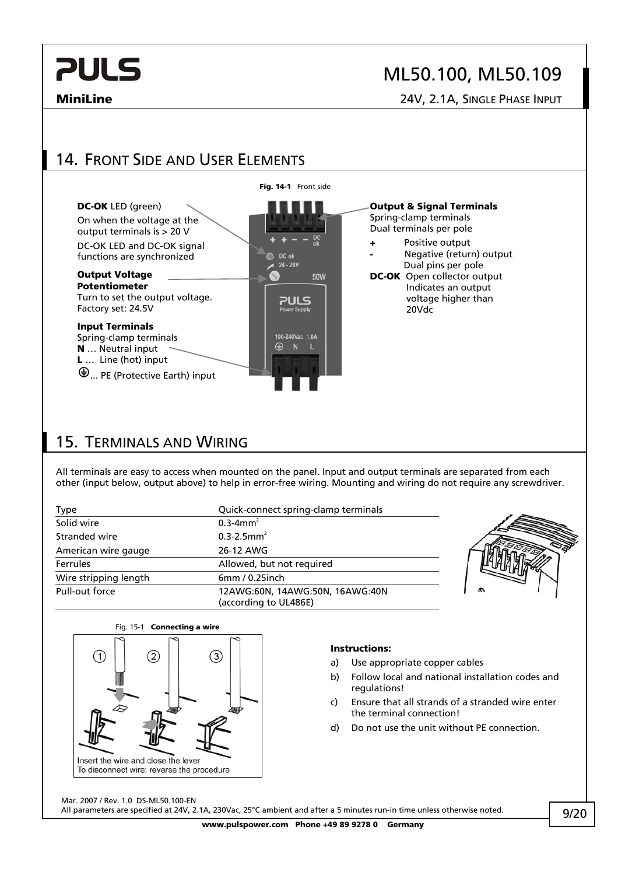## ML50.100, ML50.109

**MiniLine** 24V, 2.1A, SINGLE PHASE INPUT

## 14. FRONT SIDE AND USER ELEMENTS



### 15. TERMINALS AND WIRING

All terminals are easy to access when mounted on the panel. Input and output terminals are separated from each other (input below, output above) to help in error-free wiring. Mounting and wiring do not require any screwdriver.

| Type                  | Quick-connect spring-clamp terminals                     |   |
|-----------------------|----------------------------------------------------------|---|
| Solid wire            | $0.3 - 4$ mm <sup>2</sup>                                |   |
| Stranded wire         | $0.3 - 2.5$ mm <sup>2</sup>                              |   |
| American wire gauge   | 26-12 AWG                                                |   |
| <b>Ferrules</b>       | Allowed, but not required                                |   |
| Wire stripping length | 6mm / 0.25inch                                           |   |
| Pull-out force        | 12AWG:60N, 14AWG:50N, 16AWG:40N<br>(according to UL486E) | ົ |



### **Instructions:**

- a) Use appropriate copper cables
- b) Follow local and national installation codes and regulations!
- c) Ensure that all strands of a stranded wire enter the terminal connection!
- d) Do not use the unit without PE connection.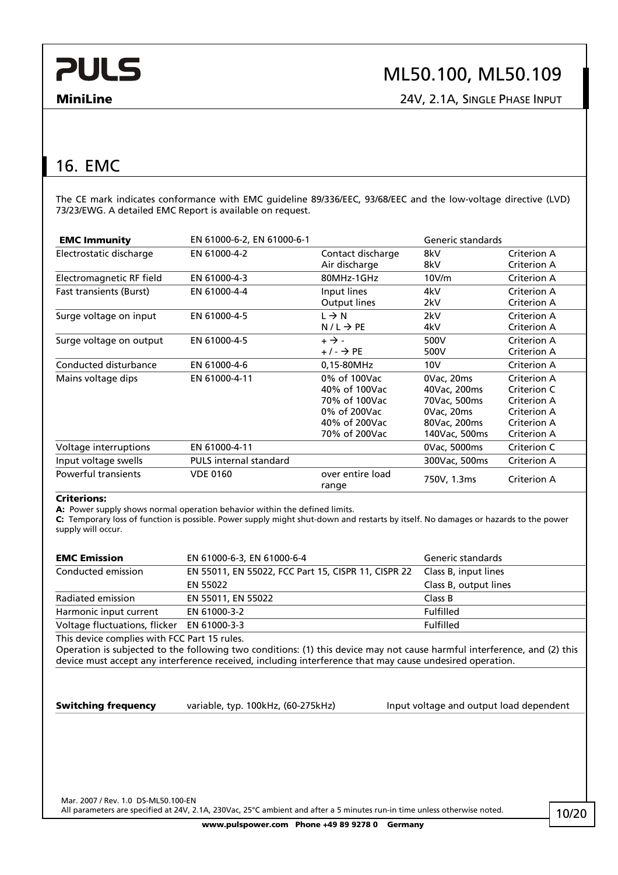# ML50.100, ML50.109

**MiniLine** 24V, 2.1A, SINGLE PHASE INPUT

## 16. EMC

The CE mark indicates conformance with EMC guideline 89/336/EEC, 93/68/EEC and the low-voltage directive (LVD) 73/23/EWG. A detailed EMC Report is available on request.

| <b>EMC Immunity</b>            | EN 61000-6-2, EN 61000-6-1    |                                                                                                  | Generic standards                                                                         |                                                                                        |
|--------------------------------|-------------------------------|--------------------------------------------------------------------------------------------------|-------------------------------------------------------------------------------------------|----------------------------------------------------------------------------------------|
| Electrostatic discharge        | EN 61000-4-2                  | Contact discharge<br>Air discharge                                                               | 8kV<br>8kV                                                                                | Criterion A<br>Criterion A                                                             |
| Electromagnetic RF field       | EN 61000-4-3                  | 80MHz-1GHz                                                                                       | 10V/m                                                                                     | Criterion A                                                                            |
| <b>Fast transients (Burst)</b> | EN 61000-4-4                  | Input lines<br>Output lines                                                                      | 4kV<br>2kV                                                                                | Criterion A<br>Criterion A                                                             |
| Surge voltage on input         | EN 61000-4-5                  | $L \rightarrow N$<br>$N/L \rightarrow PE$                                                        | 2kV<br>4kV                                                                                | Criterion A<br>Criterion A                                                             |
| Surge voltage on output        | EN 61000-4-5                  | $+ \rightarrow -$<br>$+/ \rightarrow$ PE                                                         | 500V<br>500V                                                                              | Criterion A<br>Criterion A                                                             |
| Conducted disturbance          | EN 61000-4-6                  | 0,15-80MHz                                                                                       | 10V                                                                                       | Criterion A                                                                            |
| Mains voltage dips             | EN 61000-4-11                 | 0% of 100Vac<br>40% of 100Vac<br>70% of 100Vac<br>0% of 200Vac<br>40% of 200Vac<br>70% of 200Vac | 0Vac, 20ms<br>40Vac, 200ms<br>70Vac, 500ms<br>0Vac, 20ms<br>80Vac, 200ms<br>140Vac, 500ms | Criterion A<br>Criterion C<br>Criterion A<br>Criterion A<br>Criterion A<br>Criterion A |
| Voltage interruptions          | EN 61000-4-11                 |                                                                                                  | 0Vac, 5000ms                                                                              | Criterion C                                                                            |
| Input voltage swells           | <b>PULS</b> internal standard |                                                                                                  | 300Vac, 500ms                                                                             | Criterion A                                                                            |
| Powerful transients            | <b>VDE 0160</b>               | over entire load<br>range                                                                        | 750V, 1.3ms                                                                               | Criterion A                                                                            |

### **Criterions:**

**A:** Power supply shows normal operation behavior within the defined limits.

**C:** Temporary loss of function is possible. Power supply might shut-down and restarts by itself. No damages or hazards to the power supply will occur.

| <b>EMC Emission</b>                        | EN 61000-6-3, EN 61000-6-4                          | Generic standards     |
|--------------------------------------------|-----------------------------------------------------|-----------------------|
| Conducted emission                         | EN 55011, EN 55022, FCC Part 15, CISPR 11, CISPR 22 | Class B, input lines  |
|                                            | EN 55022                                            | Class B, output lines |
| Radiated emission                          | EN 55011, EN 55022                                  | Class B               |
| Harmonic input current                     | EN 61000-3-2                                        | Fulfilled             |
| Voltage fluctuations, flicker EN 61000-3-3 |                                                     | <b>Fulfilled</b>      |

This device complies with FCC Part 15 rules.

Operation is subjected to the following two conditions: (1) this device may not cause harmful interference, and (2) this device must accept any interference received, including interference that may cause undesired operation.

**Switching frequency** variable, typ. 100kHz, (60-275kHz) lnput voltage and output load dependent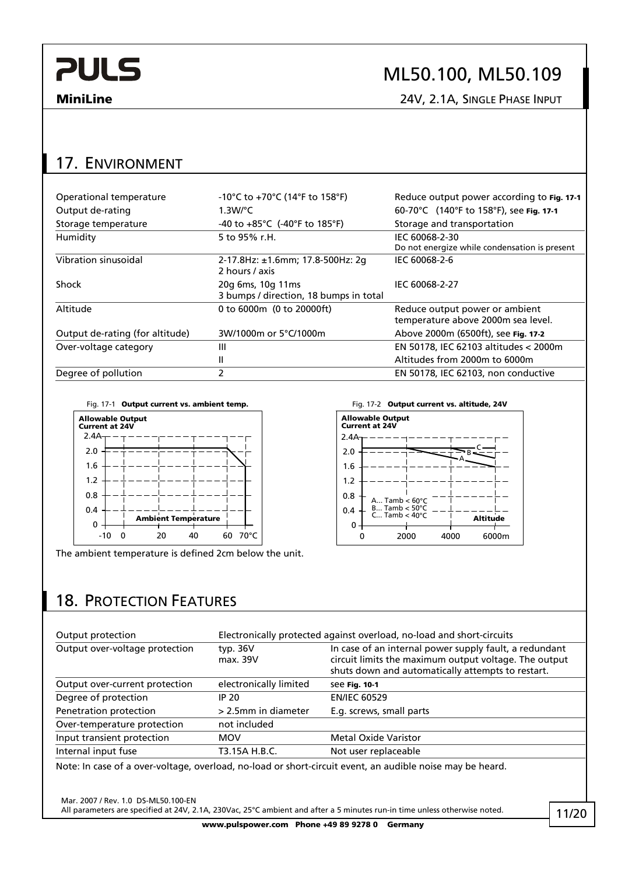# ML50.100, ML50.109

**MiniLine** 24V, 2.1A, SINGLE PHASE INPUT

### 17. ENVIRONMENT

| Operational temperature         | -10°C to +70°C (14°F to 158°F)                              | Reduce output power according to Fig. 17-1                           |
|---------------------------------|-------------------------------------------------------------|----------------------------------------------------------------------|
| Output de-rating                | $1.3$ W/°C                                                  | 60-70°C (140°F to 158°F), see Fig. 17-1                              |
| Storage temperature             | -40 to $+85^{\circ}$ C (-40°F to 185°F)                     | Storage and transportation                                           |
| Humidity                        | 5 to 95% r.H.                                               | IEC 60068-2-30<br>Do not energize while condensation is present      |
| Vibration sinusoidal            | 2-17.8Hz: ±1.6mm; 17.8-500Hz: 2q<br>2 hours / axis          | IEC 60068-2-6                                                        |
| Shock                           | 20g 6ms, 10g 11ms<br>3 bumps / direction, 18 bumps in total | IEC 60068-2-27                                                       |
| Altitude                        | 0 to 6000m (0 to 20000ft)                                   | Reduce output power or ambient<br>temperature above 2000m sea level. |
| Output de-rating (for altitude) | 3W/1000m or 5°C/1000m                                       | Above 2000m (6500ft), see Fig. 17-2                                  |
| Over-voltage category           | Ш                                                           | EN 50178, IEC 62103 altitudes < 2000m                                |
|                                 | Ш                                                           | Altitudes from 2000m to 6000m                                        |
| Degree of pollution             | 2                                                           | EN 50178, IEC 62103, non conductive                                  |

Fig. 17-1 **Output current vs. ambient temp.** Fig. 17-2 **Output current vs. altitude, 24V** 



The ambient temperature is defined 2cm below the unit.



## 18. PROTECTION FEATURES

| Output protection              | Electronically protected against overload, no-load and short-circuits |                                                                                                                                                                      |
|--------------------------------|-----------------------------------------------------------------------|----------------------------------------------------------------------------------------------------------------------------------------------------------------------|
| Output over-voltage protection | typ. 36V<br>max. 39V                                                  | In case of an internal power supply fault, a redundant<br>circuit limits the maximum output voltage. The output<br>shuts down and automatically attempts to restart. |
| Output over-current protection | electronically limited                                                | see Fig. 10-1                                                                                                                                                        |
| Degree of protection           | IP 20                                                                 | <b>EN/IEC 60529</b>                                                                                                                                                  |
| Penetration protection         | > 2.5mm in diameter                                                   | E.g. screws, small parts                                                                                                                                             |
| Over-temperature protection    | not included                                                          |                                                                                                                                                                      |
| Input transient protection     | <b>MOV</b>                                                            | <b>Metal Oxide Varistor</b>                                                                                                                                          |
| Internal input fuse            | T3.15A H.B.C.                                                         | Not user replaceable                                                                                                                                                 |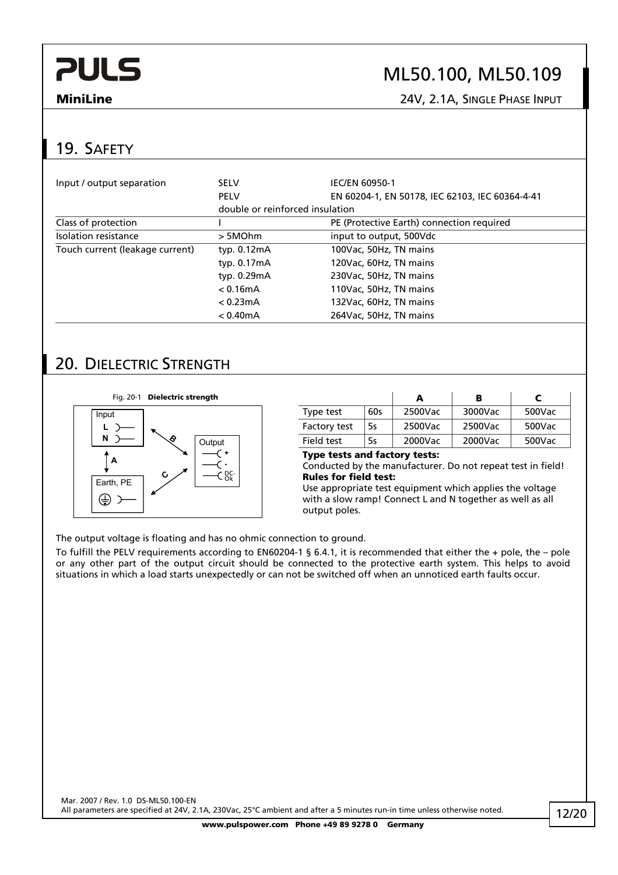# ML50.100, ML50.109

**MiniLine** 24V, 2.1A, SINGLE PHASE INPUT

### 19. SAFETY

| Input / output separation       | <b>SELV</b>                     | IEC/EN 60950-1                                  |
|---------------------------------|---------------------------------|-------------------------------------------------|
|                                 | <b>PELV</b>                     | EN 60204-1, EN 50178, IEC 62103, IEC 60364-4-41 |
|                                 | double or reinforced insulation |                                                 |
| Class of protection             |                                 | PE (Protective Earth) connection required       |
| Isolation resistance            | > 5MOhm                         | input to output, 500Vdc                         |
| Touch current (leakage current) | typ. $0.12mA$                   | 100Vac, 50Hz, TN mains                          |
|                                 | typ. 0.17mA                     | 120Vac, 60Hz, TN mains                          |
|                                 | typ. 0.29mA                     | 230Vac, 50Hz, TN mains                          |
|                                 | < 0.16mA                        | 110Vac, 50Hz, TN mains                          |
|                                 | < 0.23mA                        | 132Vac, 60Hz, TN mains                          |
|                                 | $< 0.40$ mA                     | 264Vac, 50Hz, TN mains                          |

### 20. DIELECTRIC STRENGTH

**Fig. 20-1 Dielectric strength** 



|                     |     | А       | в       |        |
|---------------------|-----|---------|---------|--------|
| Type test           | 60s | 2500Vac | 3000Vac | 500Vac |
| <b>Factory test</b> | 5s  | 2500Vac | 2500Vac | 500Vac |
| Field test          | 5s  | 2000Vac | 2000Vac | 500Vac |

### **Type tests and factory tests:**

Conducted by the manufacturer. Do not repeat test in field! **Rules for field test:**

Use appropriate test equipment which applies the voltage with a slow ramp! Connect L and N together as well as all output poles.

The output voltage is floating and has no ohmic connection to ground.

To fulfill the PELV requirements according to EN60204-1 § 6.4.1, it is recommended that either the + pole, the – pole or any other part of the output circuit should be connected to the protective earth system. This helps to avoid situations in which a load starts unexpectedly or can not be switched off when an unnoticed earth faults occur.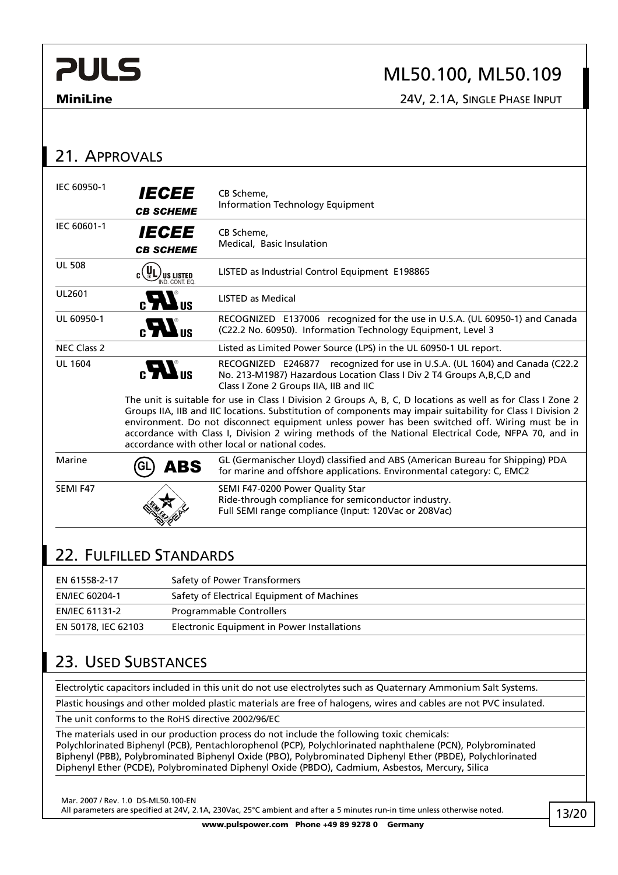## ML50.100, ML50.109

**MiniLine** 24V, 2.1A, SINGLE PHASE INPUT

| 21. APPROVALS         |                                                       |                                                                                                                                                                                                                                                                                                                                                                                                                                                                                        |
|-----------------------|-------------------------------------------------------|----------------------------------------------------------------------------------------------------------------------------------------------------------------------------------------------------------------------------------------------------------------------------------------------------------------------------------------------------------------------------------------------------------------------------------------------------------------------------------------|
| IEC 60950-1           | <b>IECEE</b><br><b>CB SCHEME</b>                      | CB Scheme,<br><b>Information Technology Equipment</b>                                                                                                                                                                                                                                                                                                                                                                                                                                  |
| IEC 60601-1           | <b>IECEE</b><br><i><b>CB SCHEME</b></i>               | CB Scheme,<br>Medical, Basic Insulation                                                                                                                                                                                                                                                                                                                                                                                                                                                |
| <b>UL 508</b>         | $_{\rm c}$ (VL)<br><b>US LISTED</b><br>IND, CONT. EQ. | LISTED as Industrial Control Equipment E198865                                                                                                                                                                                                                                                                                                                                                                                                                                         |
| UL2601                | $_{\rm c}$ <i>LR</i> <sub>3</sub>                     | <b>LISTED as Medical</b>                                                                                                                                                                                                                                                                                                                                                                                                                                                               |
| UL 60950-1            | $_{c}H_{us}$                                          | RECOGNIZED E137006 recognized for the use in U.S.A. (UL 60950-1) and Canada<br>(C22.2 No. 60950). Information Technology Equipment, Level 3                                                                                                                                                                                                                                                                                                                                            |
| <b>NEC Class 2</b>    |                                                       | Listed as Limited Power Source (LPS) in the UL 60950-1 UL report.                                                                                                                                                                                                                                                                                                                                                                                                                      |
| <b>UL 1604</b>        | $_{c}H$ <sub>us</sub>                                 | RECOGNIZED E246877 recognized for use in U.S.A. (UL 1604) and Canada (C22.2<br>No. 213-M1987) Hazardous Location Class I Div 2 T4 Groups A, B, C, D and<br>Class I Zone 2 Groups IIA, IIB and IIC                                                                                                                                                                                                                                                                                      |
|                       |                                                       | The unit is suitable for use in Class I Division 2 Groups A, B, C, D locations as well as for Class I Zone 2<br>Groups IIA, IIB and IIC locations. Substitution of components may impair suitability for Class I Division 2<br>environment. Do not disconnect equipment unless power has been switched off. Wiring must be in<br>accordance with Class I, Division 2 wiring methods of the National Electrical Code, NFPA 70, and in<br>accordance with other local or national codes. |
| Marine                | <b>GL</b><br><b>ABS</b>                               | GL (Germanischer Lloyd) classified and ABS (American Bureau for Shipping) PDA<br>for marine and offshore applications. Environmental category: C, EMC2                                                                                                                                                                                                                                                                                                                                 |
| SEMI F47              |                                                       | SEMI F47-0200 Power Quality Star<br>Ride-through compliance for semiconductor industry.<br>Full SEMI range compliance (Input: 120Vac or 208Vac)                                                                                                                                                                                                                                                                                                                                        |
|                       | 22. FULFILLED STANDARDS                               |                                                                                                                                                                                                                                                                                                                                                                                                                                                                                        |
| EN 61558-2-17         |                                                       | Safety of Power Transformers                                                                                                                                                                                                                                                                                                                                                                                                                                                           |
| EN/IEC 60204-1        |                                                       | Safety of Electrical Equipment of Machines                                                                                                                                                                                                                                                                                                                                                                                                                                             |
| <b>EN/IEC 61131-2</b> |                                                       | <b>Programmable Controllers</b>                                                                                                                                                                                                                                                                                                                                                                                                                                                        |

## 23. USED SUBSTANCES

Electrolytic capacitors included in this unit do not use electrolytes such as Quaternary Ammonium Salt Systems.

Plastic housings and other molded plastic materials are free of halogens, wires and cables are not PVC insulated.

The unit conforms to the RoHS directive 2002/96/EC

EN 50178, IEC 62103 Electronic Equipment in Power Installations

The materials used in our production process do not include the following toxic chemicals: Polychlorinated Biphenyl (PCB), Pentachlorophenol (PCP), Polychlorinated naphthalene (PCN), Polybrominated Biphenyl (PBB), Polybrominated Biphenyl Oxide (PBO), Polybrominated Diphenyl Ether (PBDE), Polychlorinated Diphenyl Ether (PCDE), Polybrominated Diphenyl Oxide (PBDO), Cadmium, Asbestos, Mercury, Silica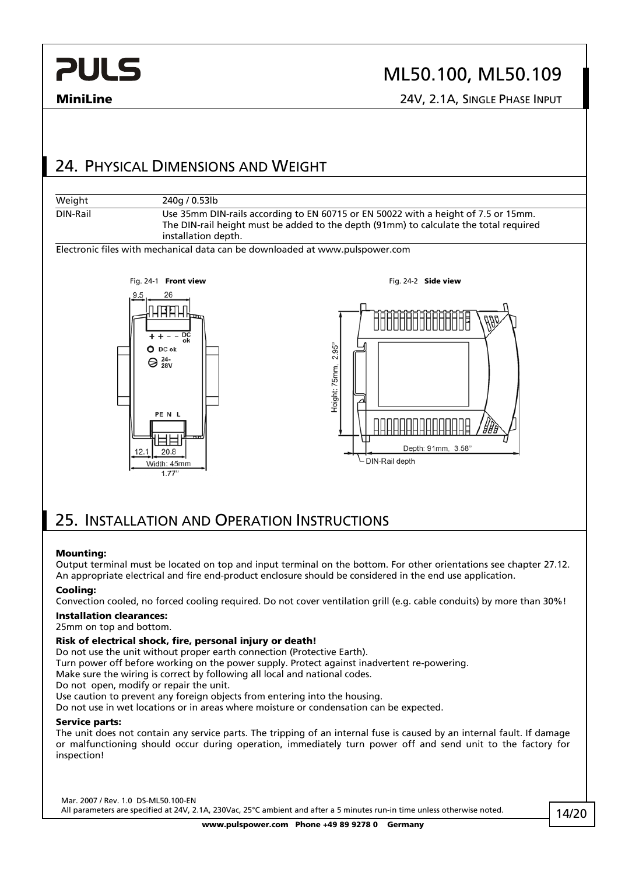## ML50.100, ML50.109

**MiniLine** 24V, 2.1A, SINGLE PHASE INPUT

### 24. PHYSICAL DIMENSIONS AND WEIGHT



Electronic files with mechanical data can be downloaded at www.pulspower.com



### 25. INSTALLATION AND OPERATION INSTRUCTIONS

### **Mounting:**

Output terminal must be located on top and input terminal on the bottom. For other orientations see chapter 27.12. An appropriate electrical and fire end-product enclosure should be considered in the end use application.

### **Cooling:**

Convection cooled, no forced cooling required. Do not cover ventilation grill (e.g. cable conduits) by more than 30%!

### **Installation clearances:**

### 25mm on top and bottom.

### **Risk of electrical shock, fire, personal injury or death!**

Do not use the unit without proper earth connection (Protective Earth).

Turn power off before working on the power supply. Protect against inadvertent re-powering.

Make sure the wiring is correct by following all local and national codes.

Do not open, modify or repair the unit.

Use caution to prevent any foreign objects from entering into the housing.

Do not use in wet locations or in areas where moisture or condensation can be expected.

### **Service parts:**

The unit does not contain any service parts. The tripping of an internal fuse is caused by an internal fault. If damage or malfunctioning should occur during operation, immediately turn power off and send unit to the factory for inspection!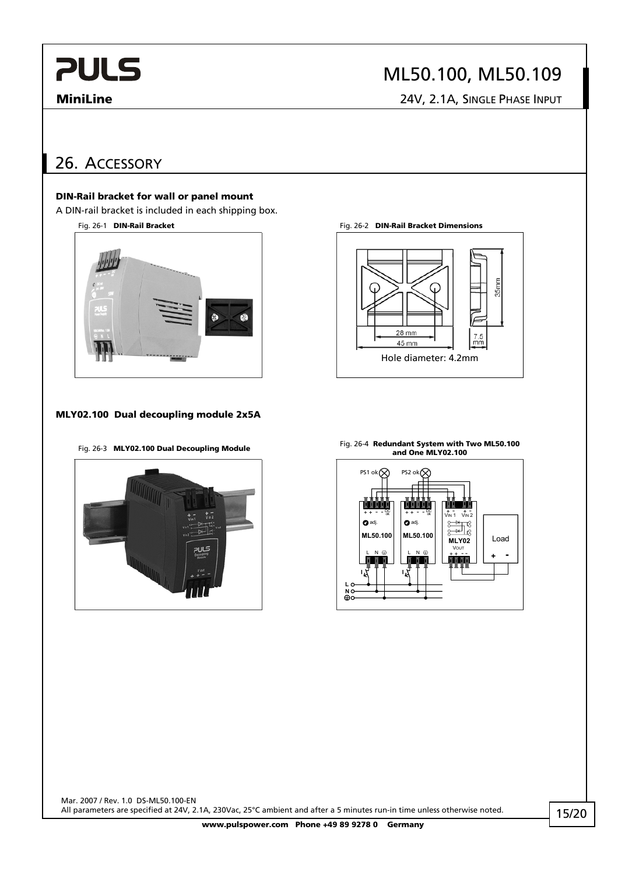# ML50.100, ML50.109

**MiniLine** 24V, 2.1A, SINGLE PHASE INPUT

## 26. ACCESSORY

### **DIN-Rail bracket for wall or panel mount**

A DIN-rail bracket is included in each shipping box.



### **MLY02.100 Dual decoupling module 2x5A**



Fig. 26-1 **DIN-Rail Bracket** Fig. 26-2 **DIN-Rail Bracket Dimensions** 



Fig. 26-3 **MLY02.100 Dual Decoupling Module** Fig. 26-4 **Redundant System with Two ML50.100 and One MLY02.100** 

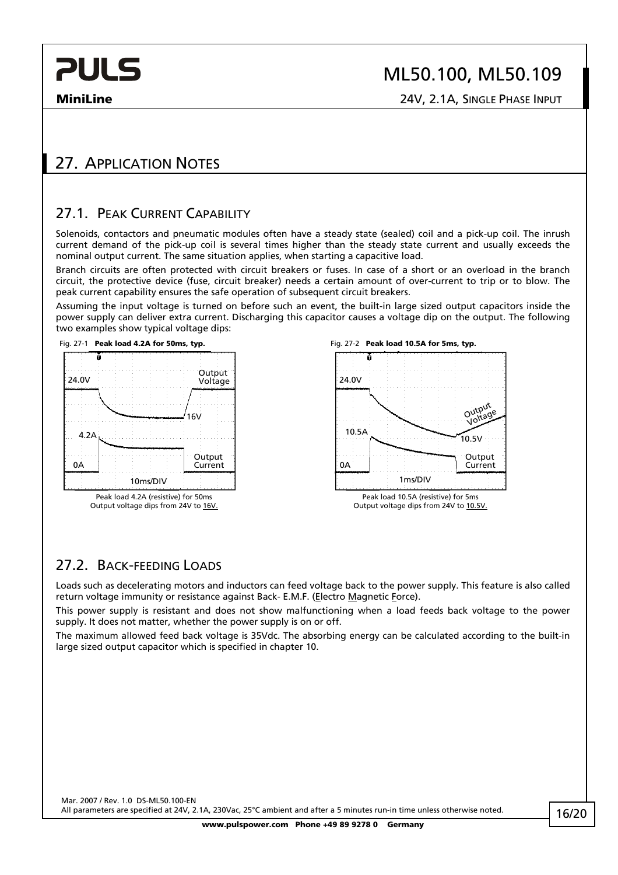**MiniLine** 24V, 2.1A, SINGLE PHASE INPUT

# 27. APPLICATION NOTES

### 27.1. PEAK CURRENT CAPARILITY

Solenoids, contactors and pneumatic modules often have a steady state (sealed) coil and a pick-up coil. The inrush current demand of the pick-up coil is several times higher than the steady state current and usually exceeds the nominal output current. The same situation applies, when starting a capacitive load.

Branch circuits are often protected with circuit breakers or fuses. In case of a short or an overload in the branch circuit, the protective device (fuse, circuit breaker) needs a certain amount of over-current to trip or to blow. The peak current capability ensures the safe operation of subsequent circuit breakers.

Assuming the input voltage is turned on before such an event, the built-in large sized output capacitors inside the power supply can deliver extra current. Discharging this capacitor causes a voltage dip on the output. The following two examples show typical voltage dips:



Output voltage dips from 24V to 16V.





### 27.2. BACK-FEEDING LOADS

Loads such as decelerating motors and inductors can feed voltage back to the power supply. This feature is also called return voltage immunity or resistance against Back- E.M.F. (Electro Magnetic Force).

This power supply is resistant and does not show malfunctioning when a load feeds back voltage to the power supply. It does not matter, whether the power supply is on or off.

The maximum allowed feed back voltage is 35Vdc. The absorbing energy can be calculated according to the built-in large sized output capacitor which is specified in chapter 10.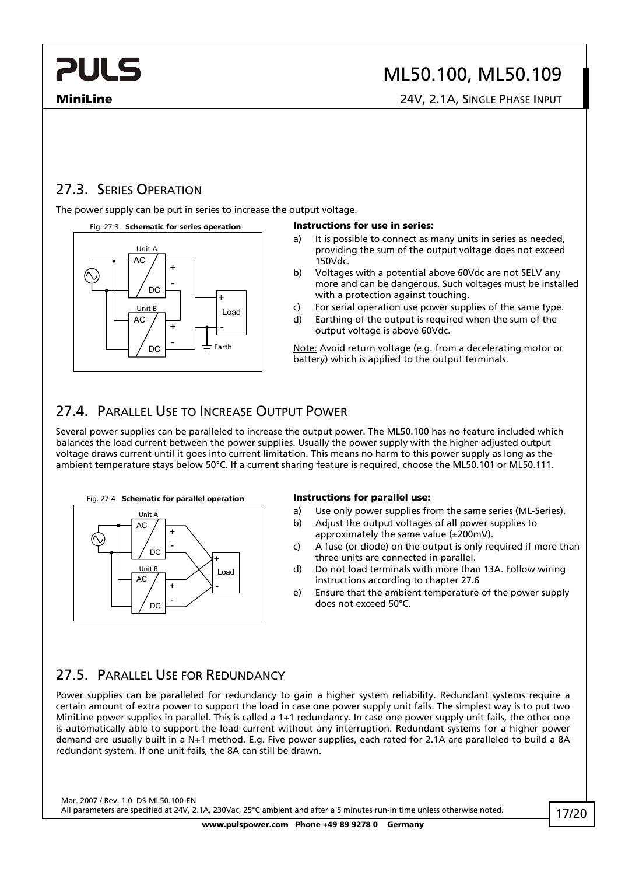# ML50.100, ML50.109

**MiniLine** 24V, 2.1A, SINGLE PHASE INPUT

### 27.3. SERIES OPERATION

The power supply can be put in series to increase the output voltage.

### Fig. 27-3 **Schematic for series operation Instructions for use in series:**



- a) It is possible to connect as many units in series as needed, providing the sum of the output voltage does not exceed 150Vdc.
- b) Voltages with a potential above 60Vdc are not SELV any more and can be dangerous. Such voltages must be installed with a protection against touching.
- c) For serial operation use power supplies of the same type.
- d) Earthing of the output is required when the sum of the output voltage is above 60Vdc.

Note: Avoid return voltage (e.g. from a decelerating motor or battery) which is applied to the output terminals.

### 27.4. PARALLEL USE TO INCREASE OUTPUT POWER

Several power supplies can be paralleled to increase the output power. The ML50.100 has no feature included which balances the load current between the power supplies. Usually the power supply with the higher adjusted output voltage draws current until it goes into current limitation. This means no harm to this power supply as long as the ambient temperature stays below 50°C. If a current sharing feature is required, choose the ML50.101 or ML50.111.



- a) Use only power supplies from the same series (ML-Series).
- b) Adjust the output voltages of all power supplies to approximately the same value (±200mV).
- c) A fuse (or diode) on the output is only required if more than three units are connected in parallel.
- d) Do not load terminals with more than 13A. Follow wiring instructions according to chapter 27.6
- e) Ensure that the ambient temperature of the power supply does not exceed 50°C.

### 27.5. PARALLEL USE FOR REDUNDANCY

Power supplies can be paralleled for redundancy to gain a higher system reliability. Redundant systems require a certain amount of extra power to support the load in case one power supply unit fails. The simplest way is to put two MiniLine power supplies in parallel. This is called a 1+1 redundancy. In case one power supply unit fails, the other one is automatically able to support the load current without any interruption. Redundant systems for a higher power demand are usually built in a N+1 method. E.g. Five power supplies, each rated for 2.1A are paralleled to build a 8A redundant system. If one unit fails, the 8A can still be drawn.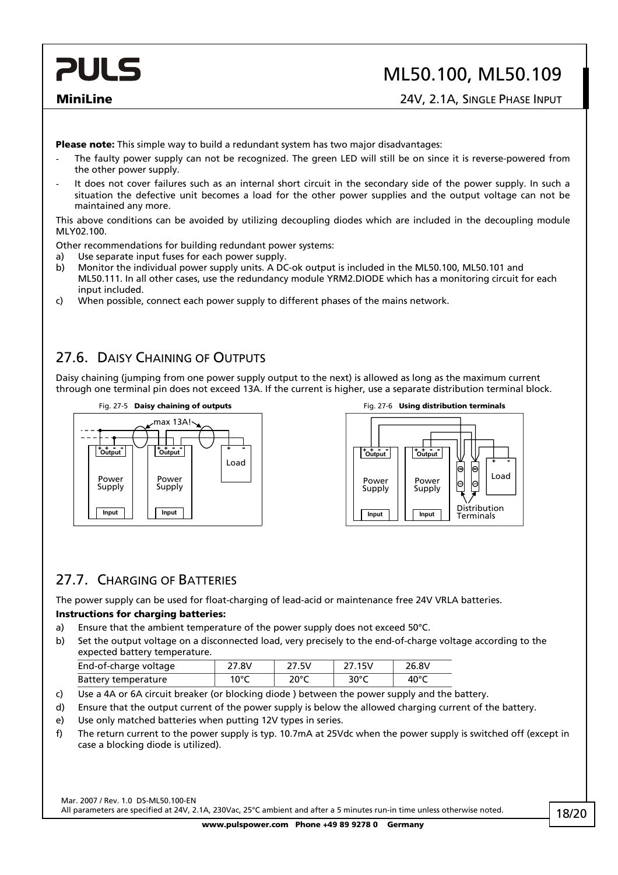## ML50.100, ML50.109

**MiniLine** 24V, 2.1A, SINGLE PHASE INPUT

**Please note:** This simple way to build a redundant system has two major disadvantages:

- The faulty power supply can not be recognized. The green LED will still be on since it is reverse-powered from the other power supply.
- It does not cover failures such as an internal short circuit in the secondary side of the power supply. In such a situation the defective unit becomes a load for the other power supplies and the output voltage can not be maintained any more.

This above conditions can be avoided by utilizing decoupling diodes which are included in the decoupling module MLY02.100.

Other recommendations for building redundant power systems:

- a) Use separate input fuses for each power supply.
- b) Monitor the individual power supply units. A DC-ok output is included in the ML50.100, ML50.101 and ML50.111. In all other cases, use the redundancy module YRM2.DIODE which has a monitoring circuit for each input included.
- c) When possible, connect each power supply to different phases of the mains network.

### 27.6. DAISY CHAINING OF OUTPUTS

Daisy chaining (jumping from one power supply output to the next) is allowed as long as the maximum current through one terminal pin does not exceed 13A. If the current is higher, use a separate distribution terminal block.





### 27.7. CHARGING OF BATTERIES

The power supply can be used for float-charging of lead-acid or maintenance free 24V VRLA batteries.

### **Instructions for charging batteries:**

- a) Ensure that the ambient temperature of the power supply does not exceed 50°C.
- b) Set the output voltage on a disconnected load, very precisely to the end-of-charge voltage according to the expected battery temperature.

| End-of-charge voltage | 27.8V | 27.5V | 27.15V | 26.8V |
|-----------------------|-------|-------|--------|-------|
| Battery temperature   | 1 ሰ°Ր | 20°C  | 30°C   | 40°C  |

- c) Use a 4A or 6A circuit breaker (or blocking diode ) between the power supply and the battery.
- d) Ensure that the output current of the power supply is below the allowed charging current of the battery.
- e) Use only matched batteries when putting 12V types in series.
- f) The return current to the power supply is typ. 10.7mA at 25Vdc when the power supply is switched off (except in case a blocking diode is utilized).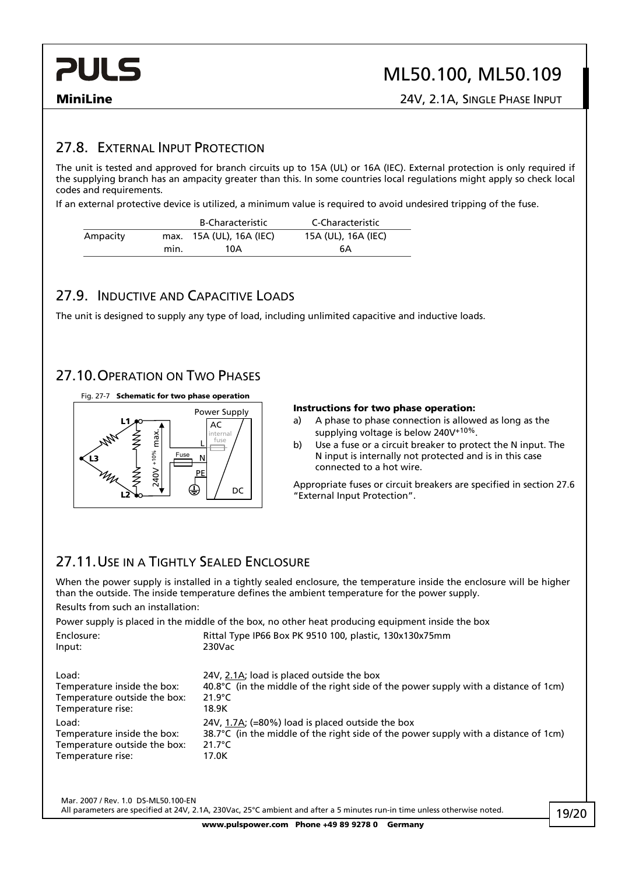## ML50.100, ML50.109

**MiniLine** 24V, 2.1A, SINGLE PHASE INPUT

### 27.8. EXTERNAL INPUT PROTECTION

The unit is tested and approved for branch circuits up to 15A (UL) or 16A (IEC). External protection is only required if the supplying branch has an ampacity greater than this. In some countries local regulations might apply so check local codes and requirements.

If an external protective device is utilized, a minimum value is required to avoid undesired tripping of the fuse.

|          |      | <b>B-Characteristic</b>  | C-Characteristic    |
|----------|------|--------------------------|---------------------|
| Ampacity |      | max. 15A (UL), 16A (IEC) | 15A (UL), 16A (IEC) |
|          | min. | 10A                      | 6A                  |

### 27.9. INDUCTIVE AND CAPACITIVE LOADS

The unit is designed to supply any type of load, including unlimited capacitive and inductive loads.

### 27.10. OPERATION ON TWO PHASES



### **Instructions for two phase operation:**

- a) A phase to phase connection is allowed as long as the supplying voltage is below 240V+10%.
- b) Use a fuse or a circuit breaker to protect the N input. The N input is internally not protected and is in this case connected to a hot wire.

Appropriate fuses or circuit breakers are specified in section 27.6 "External Input Protection".

### 27.11. USE IN A TIGHTLY SEALED ENCLOSURE

When the power supply is installed in a tightly sealed enclosure, the temperature inside the enclosure will be higher than the outside. The inside temperature defines the ambient temperature for the power supply.

Results from such an installation:

Power supply is placed in the middle of the box, no other heat producing equipment inside the box

| Enclosure:                   | Rittal Type IP66 Box PK 9510 100, plastic, 130x130x75mm                                       |
|------------------------------|-----------------------------------------------------------------------------------------------|
| Input:                       | 230Vac                                                                                        |
| Load:                        | 24V, 2.1A; load is placed outside the box                                                     |
| Temperature inside the box:  | 40.8°C (in the middle of the right side of the power supply with a distance of 1cm)           |
| Temperature outside the box: | $21.9^{\circ}$ C                                                                              |
| Temperature rise:            | 18.9K                                                                                         |
| Load:                        | 24V, 1.7A; (=80%) load is placed outside the box                                              |
| Temperature inside the box:  | 38.7 $\degree$ C (in the middle of the right side of the power supply with a distance of 1cm) |
| Temperature outside the box: | $21.7^{\circ}$ C                                                                              |
| Temperature rise:            | 17.0K                                                                                         |